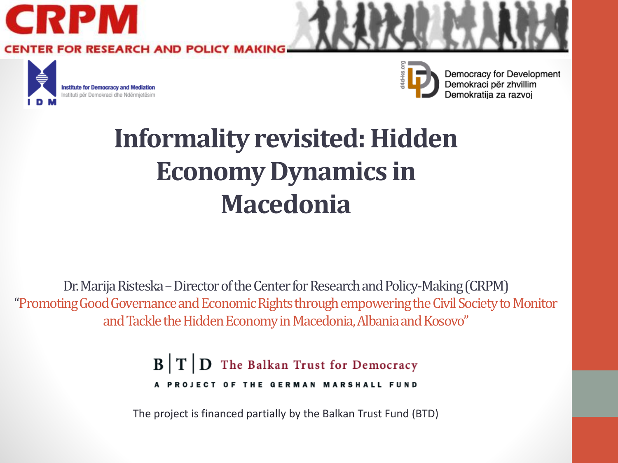

#### **Informality revisited: Hidden Economy Dynamics in Macedonia**

Dr. Marija Risteska – Director of the Center for Research and Policy-Making (CRPM) "Promoting Good Governance and Economic Rights through empowering the Civil Society to Monitor and Tackle the Hidden Economy in Macedonia, Albania and Kosovo"

> $\mathbf{B}$   $\mathbf{T}$   $\mathbf{D}$  The Balkan Trust for Democracy A PROJECT OF THE GERMAN MARSHALL FUND

The project is financed partially by the Balkan Trust Fund (BTD)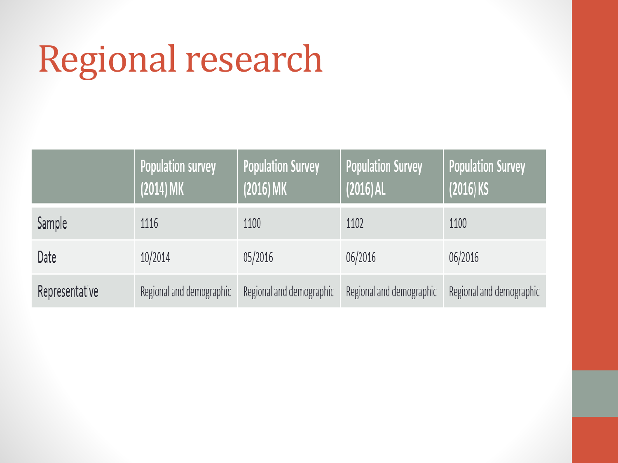# Regional research

|                | <b>Population survey</b><br>$(2014)$ MK | <b>Population Survey</b><br>$(2016)$ MK | <b>Population Survey</b><br>$(2016)$ AL | <b>Population Survey</b><br>$(2016)$ KS |
|----------------|-----------------------------------------|-----------------------------------------|-----------------------------------------|-----------------------------------------|
| Sample         | 1116                                    | 1100                                    | 1102                                    | 1100                                    |
| Date           | 10/2014                                 | 05/2016                                 | 06/2016                                 | 06/2016                                 |
| Representative | Regional and demographic                | Regional and demographic                | Regional and demographic                | Regional and demographic                |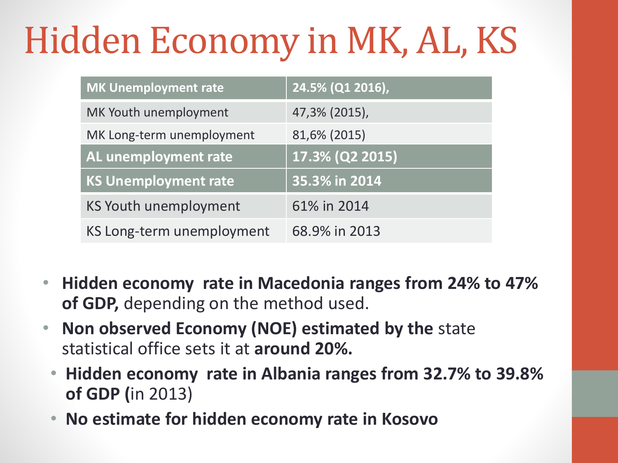# Hidden Economy in MK, AL, KS

| <b>MK Unemployment rate</b> | 24.5% (Q1 2016), |
|-----------------------------|------------------|
| MK Youth unemployment       | 47,3% (2015),    |
| MK Long-term unemployment   | 81,6% (2015)     |
| AL unemployment rate        | 17.3% (Q2 2015)  |
| <b>KS Unemployment rate</b> | 35.3% in 2014    |
| KS Youth unemployment       | 61% in 2014      |
| KS Long-term unemployment   | 68.9% in 2013    |

- **Hidden economy rate in Macedonia ranges from 24% to 47% of GDP,** depending on the method used.
- **Non observed Economy (NOE) estimated by the** state statistical office sets it at **around 20%.**
	- **Hidden economy rate in Albania ranges from 32.7% to 39.8% of GDP (**in 2013)
	- **No estimate for hidden economy rate in Kosovo**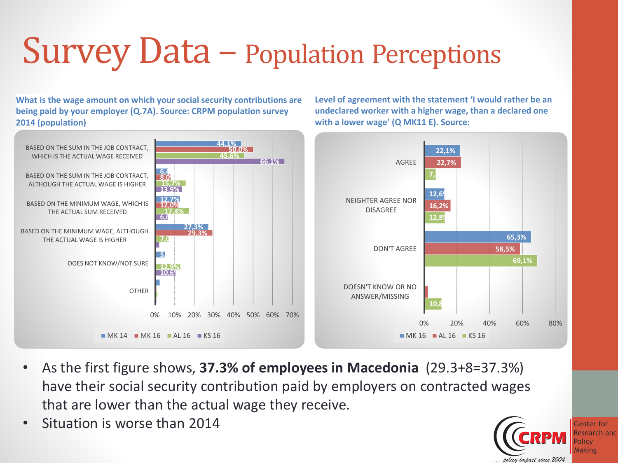## Survey Data – Population Perceptions

**What is the wage amount on which your social security contributions are being paid by your employer (Q.7A). Source: CRPM population survey 2014 (population)**

**Level of agreement with the statement 'I would rather be an undeclared worker with a higher wage, than a declared one with a lower wage' (Q MK11 E). Source:** 



- As the first figure shows, **37.3% of employees in Macedonia** (29.3+8=37.3%) have their social security contribution paid by employers on contracted wages that are lower than the actual wage they receive.
- Situation is worse than 2014

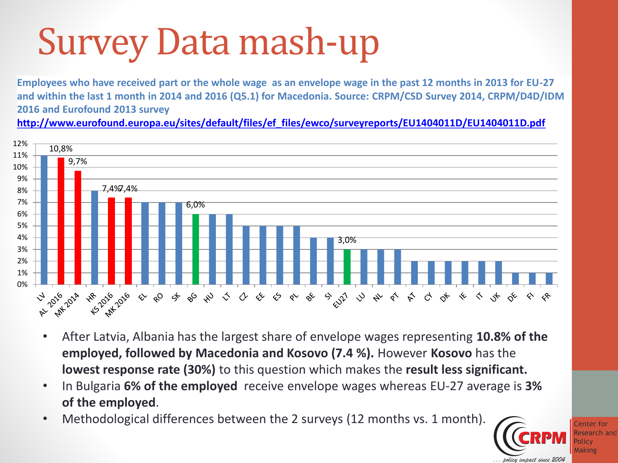# Survey Data mash-up

**Employees who have received part or the whole wage as an envelope wage in the past 12 months in 2013 for EU-27 and within the last 1 month in 2014 and 2016 (Q5.1) for Macedonia. Source: CRPM/CSD Survey 2014, CRPM/D4D/IDM 2016 and Eurofound 2013 survey** 

**[http://www.eurofound.europa.eu/sites/default/files/ef\\_files/ewco/surveyreports/EU1404011D/EU1404011D.pdf](http://www.eurofound.europa.eu/sites/default/files/ef_files/ewco/surveyreports/EU1404011D/EU1404011D.pdf)**



- After Latvia, Albania has the largest share of envelope wages representing **10.8% of the employed, followed by Macedonia and Kosovo (7.4 %).** However **Kosovo** has the **lowest response rate (30%)** to this question which makes the **result less significant.**
- In Bulgaria **6% of the employed** receive envelope wages whereas EU-27 average is **3% of the employed**.
- Methodological differences between the 2 surveys (12 months vs. 1 month).

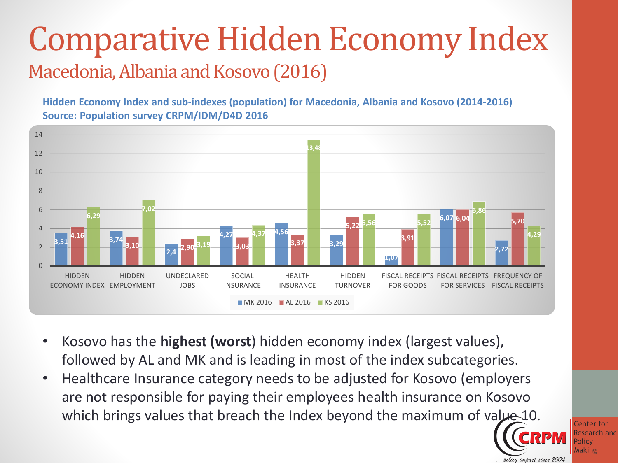#### Comparative Hidden Economy Index Macedonia, Albania and Kosovo (2016)

**Hidden Economy Index and sub-indexes (population) for Macedonia, Albania and Kosovo (2014-2016) Source: Population survey CRPM/IDM/D4D 2016**



- Kosovo has the **highest (worst**) hidden economy index (largest values), followed by AL and MK and is leading in most of the index subcategories.
- Healthcare Insurance category needs to be adjusted for Kosovo (employers are not responsible for paying their employees health insurance on Kosovo which brings values that breach the Index beyond the maximum of value 10.

Center for lesearch and olicy **Making** impact since 2004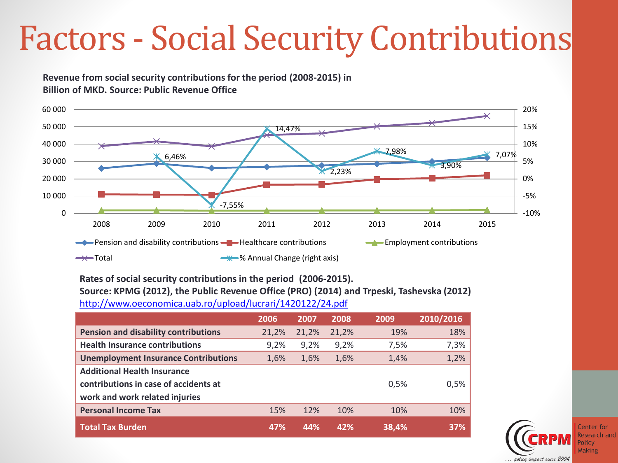## Factors - Social Security Contributions

**Revenue from social security contributions for the period (2008-2015) in Billion of MKD. Source: Public Revenue Office** 



**Rates of social security contributions in the period (2006-2015). Source: KPMG (2012), the Public Revenue Office (PRO) (2014) and Trpeski, Tashevska (2012)**  <http://www.oeconomica.uab.ro/upload/lucrari/1420122/24.pdf>

|                                             | 2006  | 2007  | 2008  | 2009  | 2010/2016 |
|---------------------------------------------|-------|-------|-------|-------|-----------|
| <b>Pension and disability contributions</b> | 21,2% | 21,2% | 21,2% | 19%   | 18%       |
| <b>Health Insurance contributions</b>       | 9,2%  | 9,2%  | 9,2%  | 7,5%  | 7,3%      |
| <b>Unemployment Insurance Contributions</b> | 1,6%  | 1,6%  | 1,6%  | 1,4%  | 1,2%      |
| <b>Additional Health Insurance</b>          |       |       |       |       |           |
| contributions in case of accidents at       |       |       |       | 0,5%  | 0,5%      |
| work and work related injuries              |       |       |       |       |           |
| <b>Personal Income Tax</b>                  | 15%   | 12%   | 10%   | 10%   | 10%       |
| <b>Total Tax Burden</b>                     | 47%   | 44%   | 42%   | 38,4% | 37%       |



Center for रेesearch and Making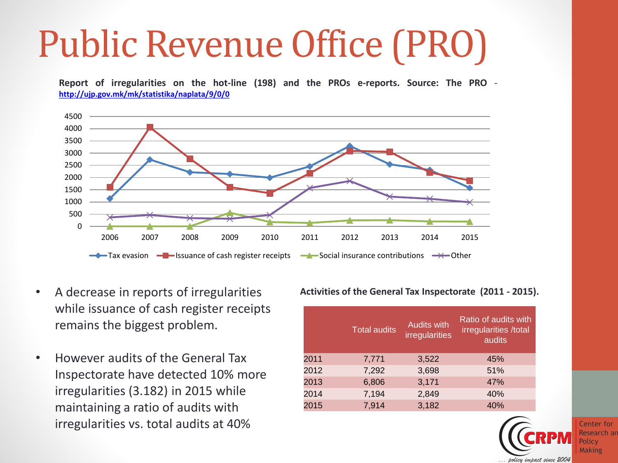# Public Revenue Office (PRO)

**Report of irregularities on the hot-line (198) and the PROs e-reports. Source: The PRO <http://ujp.gov.mk/mk/statistika/naplata/9/0/0>**



- A decrease in reports of irregularities while issuance of cash register receipts remains the biggest problem.
- However audits of the General Tax Inspectorate have detected 10% more irregularities (3.182) in 2015 while maintaining a ratio of audits with irregularities vs. total audits at 40%

**Activities of the General Tax Inspectorate (2011 - 2015).**

|      | <b>Total audits</b> | <b>Audits with</b><br>irregularities | Ratio of audits with<br>irregularities /total<br>audits |
|------|---------------------|--------------------------------------|---------------------------------------------------------|
| 2011 | 7,771               | 3,522                                | 45%                                                     |
| 2012 | 7,292               | 3,698                                | 51%                                                     |
| 2013 | 6,806               | 3,171                                | 47%                                                     |
| 2014 | 7,194               | 2,849                                | 40%                                                     |
| 2015 | 7,914               | 3,182                                | 40%                                                     |

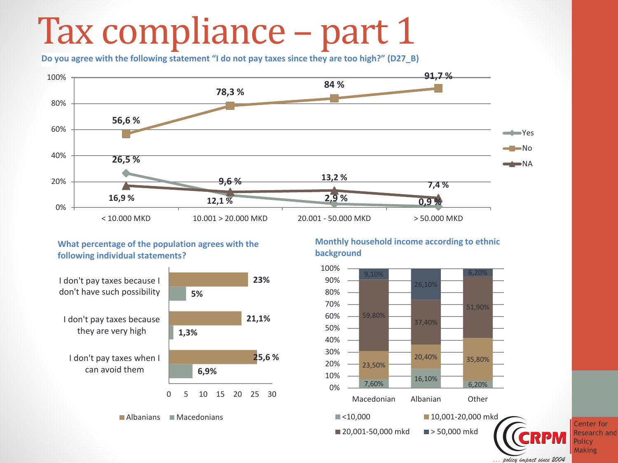## Tax compliance – part 1

**Do you agree with the following statement "I do not pay taxes since they are too high?" (D27\_B)**



**What percentage of the population agrees with the following individual statements?**



**Monthly household income according to ethnic background**





Center for Research and Policy **Making** 

policy impact since 2004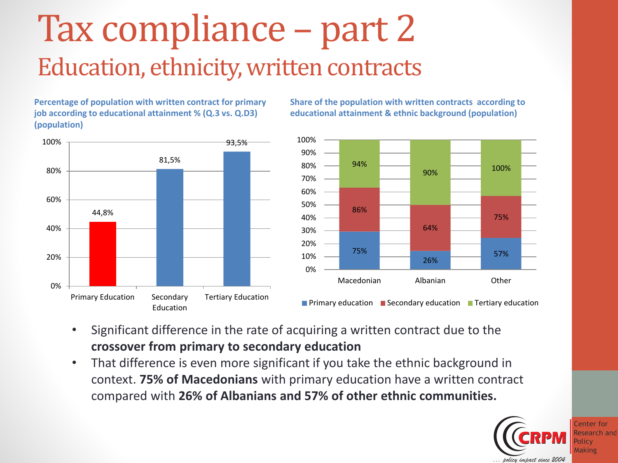## Tax compliance – part 2 Education, ethnicity, written contracts

**Percentage of population with written contract for primary job according to educational attainment % (Q.3 vs. Q.D3) (population)**



**Share of the population with written contracts according to educational attainment & ethnic background (population)**



- Significant difference in the rate of acquiring a written contract due to the **crossover from primary to secondary education**
- That difference is even more significant if you take the ethnic background in context. **75% of Macedonians** with primary education have a written contract compared with **26% of Albanians and 57% of other ethnic communities.**

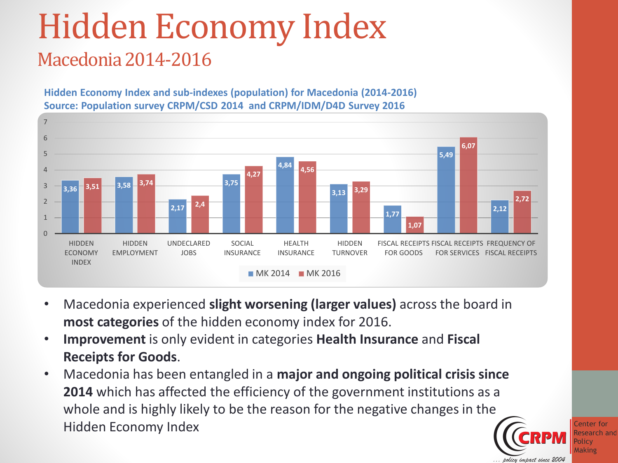### Hidden Economy Index Macedonia 2014-2016

**Hidden Economy Index and sub-indexes (population) for Macedonia (2014-2016) Source: Population survey CRPM/CSD 2014 and CRPM/IDM/D4D Survey 2016**



- Macedonia experienced **slight worsening (larger values)** across the board in **most categories** of the hidden economy index for 2016.
- **Improvement** is only evident in categories **Health Insurance** and **Fiscal Receipts for Goods**.
- Macedonia has been entangled in a **major and ongoing political crisis since 2014** which has affected the efficiency of the government institutions as a whole and is highly likely to be the reason for the negative changes in the Hidden Economy Index

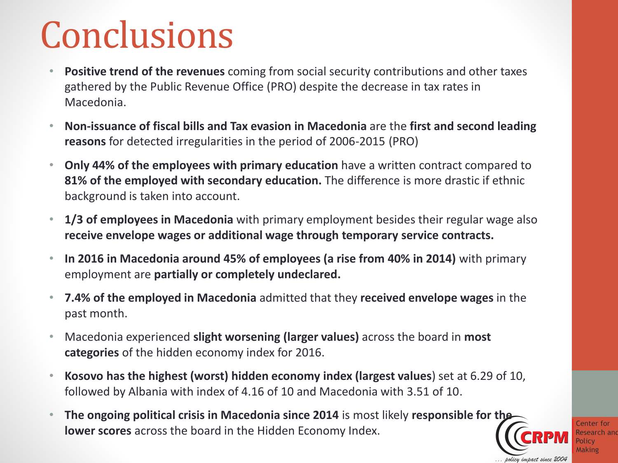## Conclusions

- **Positive trend of the revenues** coming from social security contributions and other taxes gathered by the Public Revenue Office (PRO) despite the decrease in tax rates in Macedonia.
- **Non-issuance of fiscal bills and Tax evasion in Macedonia** are the **first and second leading reasons** for detected irregularities in the period of 2006-2015 (PRO)
- **Only 44% of the employees with primary education** have a written contract compared to **81% of the employed with secondary education.** The difference is more drastic if ethnic background is taken into account.
- **1/3 of employees in Macedonia** with primary employment besides their regular wage also **receive envelope wages or additional wage through temporary service contracts.**
- **In 2016 in Macedonia around 45% of employees (a rise from 40% in 2014)** with primary employment are **partially or completely undeclared.**
- **7.4% of the employed in Macedonia** admitted that they **received envelope wages** in the past month.
- Macedonia experienced **slight worsening (larger values)** across the board in **most categories** of the hidden economy index for 2016.
- **Kosovo has the highest (worst) hidden economy index (largest values**) set at 6.29 of 10, followed by Albania with index of 4.16 of 10 and Macedonia with 3.51 of 10.
- **The ongoing political crisis in Macedonia since 2014** is most likely **responsible for the lower scores** across the board in the Hidden Economy Index.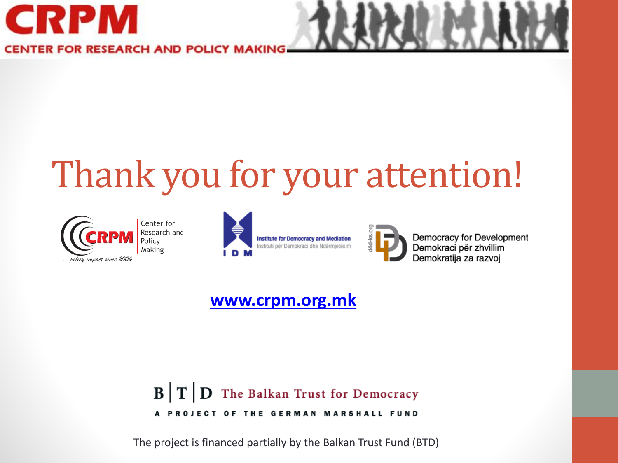

**CENTER FOR RESEARCH AND POLICY** 

# Thank you for your attention!



Center for Research and<br>Policy Making





Democracy for Development Demokraci për zhvillim Demokratija za razvoj

#### **[www.crpm.org.mk](http://www.crpm.org.mk/)**

#### $\mathbf{B}$   $\mathbf{T}$   $\mathbf{D}$  The Balkan Trust for Democracy A PROJECT OF THE GERMAN MARSHALL FUND

The project is financed partially by the Balkan Trust Fund (BTD)